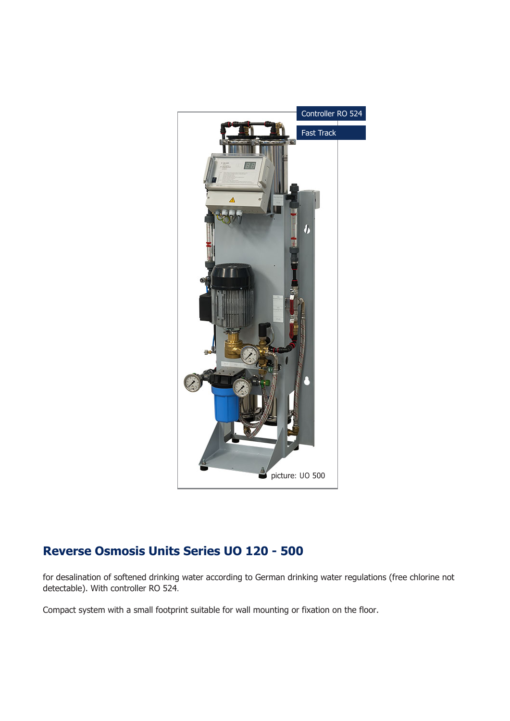

## **Reverse Osmosis Units Series UO 120 - 500**

for desalination of softened drinking water according to German drinking water regulations (free chlorine not detectable). With controller RO 524.

Compact system with a small footprint suitable for wall mounting or fixation on the floor.